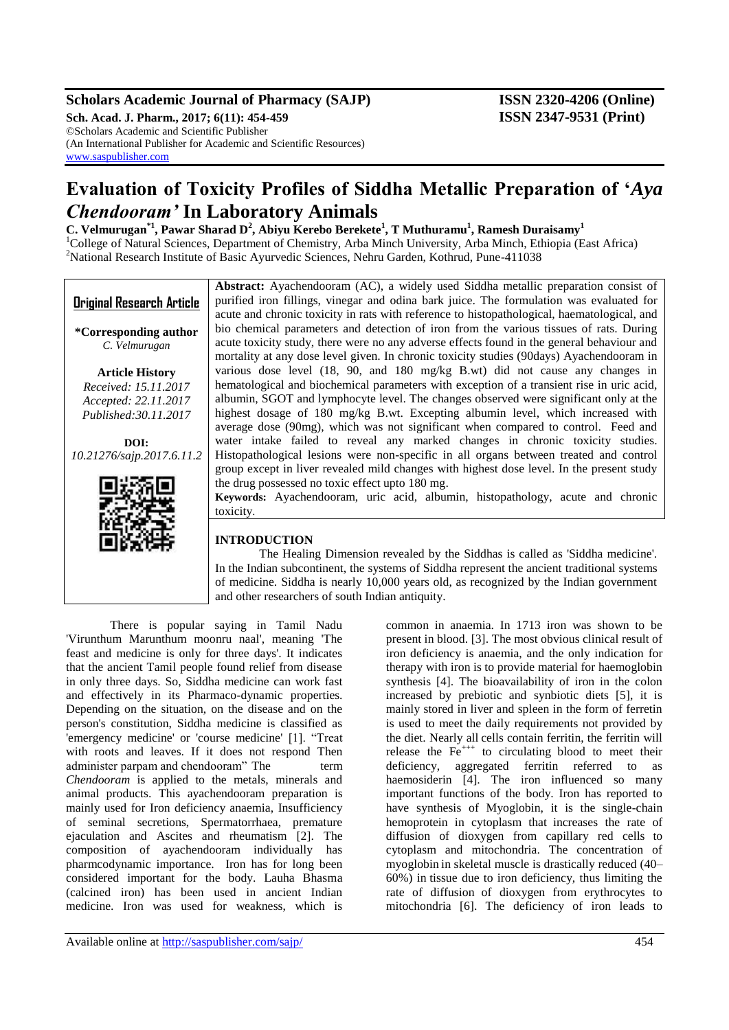# **Scholars Academic Journal of Pharmacy (SAJP) ISSN 2320-4206 (Online)**

**Sch. Acad. J. Pharm., 2017; 6(11): 454-459 ISSN 2347-9531 (Print)** ©Scholars Academic and Scientific Publisher (An International Publisher for Academic and Scientific Resources) [www.saspublisher.com](http://www.saspublisher.com/)

# **Evaluation of Toxicity Profiles of Siddha Metallic Preparation of '***Aya Chendooram'* **In Laboratory Animals**

**C. Velmurugan\*1, Pawar Sharad D<sup>2</sup> , Abiyu Kerebo Berekete<sup>1</sup> , T Muthuramu<sup>1</sup> , Ramesh Duraisamy<sup>1</sup>**

<sup>1</sup>College of Natural Sciences, Department of Chemistry, Arba Minch University, Arba Minch, Ethiopia (East Africa) <sup>2</sup>National Research Institute of Basic Ayurvedic Sciences, Nehru Garden, Kothrud, Pune-411038

|                                  | Abstract: Ayachendooram (AC), a widely used Siddha metallic preparation consist of          |
|----------------------------------|---------------------------------------------------------------------------------------------|
| <b>Original Research Article</b> | purified iron fillings, vinegar and odina bark juice. The formulation was evaluated for     |
|                                  | acute and chronic toxicity in rats with reference to histopathological, haematological, and |
| *Corresponding author            | bio chemical parameters and detection of iron from the various tissues of rats. During      |
| C. Velmurugan                    | acute toxicity study, there were no any adverse effects found in the general behaviour and  |
|                                  | mortality at any dose level given. In chronic toxicity studies (90days) Ayachendooram in    |
| <b>Article History</b>           | various dose level (18, 90, and 180 mg/kg B.wt) did not cause any changes in                |
| Received: 15.11.2017             | hematological and biochemical parameters with exception of a transient rise in uric acid,   |
| Accepted: 22.11.2017             | albumin, SGOT and lymphocyte level. The changes observed were significant only at the       |
| Published: 30.11.2017            | highest dosage of 180 mg/kg B.wt. Excepting albumin level, which increased with             |
|                                  | average dose (90mg), which was not significant when compared to control. Feed and           |
| DOI:                             | water intake failed to reveal any marked changes in chronic toxicity studies.               |
| 10.21276/sajp.2017.6.11.2        | Histopathological lesions were non-specific in all organs between treated and control       |
|                                  | group except in liver revealed mild changes with highest dose level. In the present study   |
|                                  | the drug possessed no toxic effect upto 180 mg.                                             |
|                                  | Keywords: Ayachendooram, uric acid, albumin, histopathology, acute and chronic              |
|                                  | toxicity.                                                                                   |
|                                  |                                                                                             |
|                                  | <b>INTRODUCTION</b>                                                                         |
|                                  | The Healing Dimension revealed by the Siddhas is called as 'Siddha medicine'.               |
|                                  | In the Indian subcontinent, the systems of Siddha represent the ancient traditional systems |
|                                  | of medicine. Siddha is nearly 10,000 years old, as recognized by the Indian government      |
|                                  | and other researchers of south Indian antiquity.                                            |

There is popular saying in Tamil Nadu 'Virunthum Marunthum moonru naal', meaning 'The feast and medicine is only for three days'. It indicates that the ancient Tamil people found relief from disease in only three days. So, Siddha medicine can work fast and effectively in its Pharmaco-dynamic properties. Depending on the situation, on the disease and on the person's constitution, Siddha medicine is classified as 'emergency medicine' or 'course medicine' [1]. "Treat with roots and leaves. If it does not respond Then administer parpam and chendooram" The term *Chendooram* is applied to the metals, minerals and animal products. This ayachendooram preparation is mainly used for Iron deficiency anaemia, Insufficiency of seminal secretions, Spermatorrhaea, premature ejaculation and Ascites and rheumatism [2]. The composition of ayachendooram individually has pharmcodynamic importance. Iron has for long been considered important for the body. Lauha Bhasma (calcined iron) has been used in ancient Indian medicine. Iron was used for weakness, which is

common in anaemia. In 1713 iron was shown to be present in blood. [3]. The most obvious clinical result of iron deficiency is anaemia, and the only indication for therapy with iron is to provide material for haemoglobin synthesis [4]. The bioavailability of iron in the colon increased by prebiotic and synbiotic diets [5], it is mainly stored in liver and spleen in the form of ferretin is used to meet the daily requirements not provided by the diet. Nearly all cells contain ferritin, the ferritin will release the  $Fe^{++}$  to circulating blood to meet their deficiency, aggregated ferritin referred to as haemosiderin [4]. The iron influenced so many important functions of the body. Iron has reported to have synthesis of Myoglobin, it is the single-chain hemoprotein in cytoplasm that increases the rate of diffusion of dioxygen from capillary red cells to cytoplasm and mitochondria. The concentration of myoglobin in skeletal muscle is drastically reduced (40– 60%) in tissue due to iron deficiency, thus limiting the rate of diffusion of dioxygen from erythrocytes to mitochondria [6]. The deficiency of iron leads to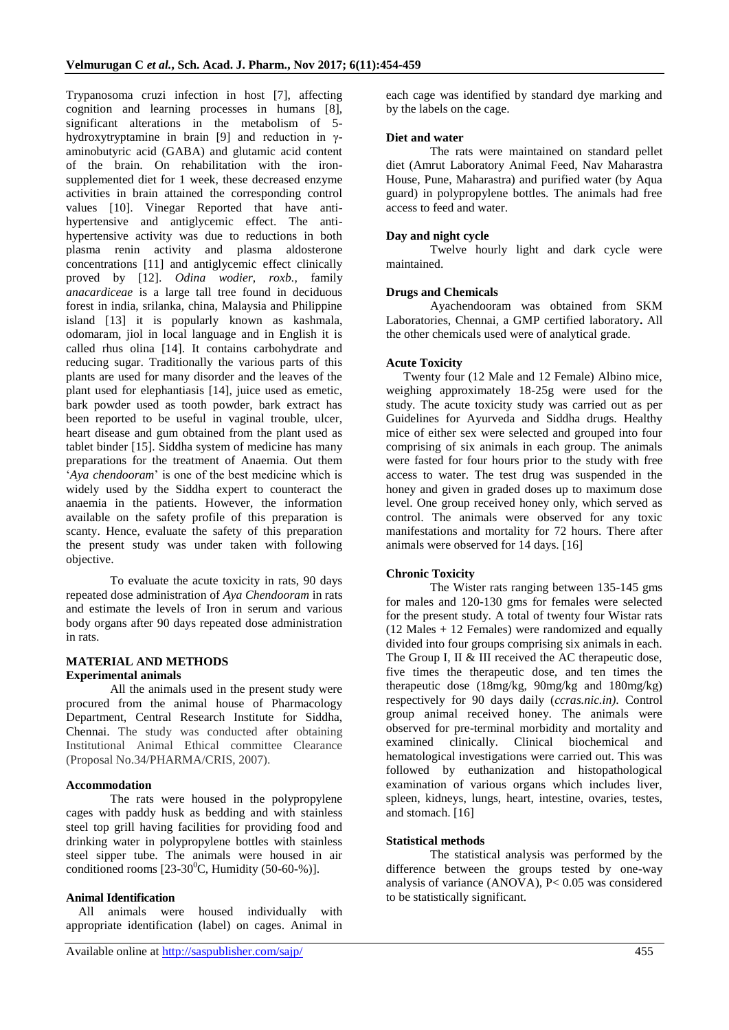Trypanosoma cruzi infection in host [7], affecting cognition and learning processes in humans [8], significant alterations in the metabolism of 5 hydroxytryptamine in brain [9] and reduction in γaminobutyric acid (GABA) and glutamic acid content of the brain. On rehabilitation with the ironsupplemented diet for 1 week, these decreased enzyme activities in brain attained the corresponding control values [10]. Vinegar Reported that have antihypertensive and antiglycemic effect. The antihypertensive activity was due to reductions in both plasma renin activity and plasma aldosterone concentrations [11] and antiglycemic effect clinically proved by [12]. *Odina wodier, roxb.,* family *anacardiceae* is a large tall tree found in deciduous forest in india, srilanka, china, Malaysia and Philippine island [13] it is popularly known as kashmala, odomaram, jiol in local language and in English it is called rhus olina [14]. It contains carbohydrate and reducing sugar. Traditionally the various parts of this plants are used for many disorder and the leaves of the plant used for elephantiasis [14], juice used as emetic, bark powder used as tooth powder, bark extract has been reported to be useful in vaginal trouble, ulcer, heart disease and gum obtained from the plant used as tablet binder [15]. Siddha system of medicine has many preparations for the treatment of Anaemia. Out them ‗*Aya chendooram*' is one of the best medicine which is widely used by the Siddha expert to counteract the anaemia in the patients. However, the information available on the safety profile of this preparation is scanty. Hence, evaluate the safety of this preparation the present study was under taken with following objective.

To evaluate the acute toxicity in rats, 90 days repeated dose administration of *Aya Chendooram* in rats and estimate the levels of Iron in serum and various body organs after 90 days repeated dose administration in rats.

# **MATERIAL AND METHODS Experimental animals**

All the animals used in the present study were procured from the animal house of Pharmacology Department, Central Research Institute for Siddha, Chennai. The study was conducted after obtaining Institutional Animal Ethical committee Clearance (Proposal No.34/PHARMA/CRIS, 2007).

# **Accommodation**

The rats were housed in the polypropylene cages with paddy husk as bedding and with stainless steel top grill having facilities for providing food and drinking water in polypropylene bottles with stainless steel sipper tube. The animals were housed in air conditioned rooms  $[23-30^0C,$  Humidity  $(50-60-%)$ ].

# **Animal Identification**

All animals were housed individually with appropriate identification (label) on cages. Animal in

each cage was identified by standard dye marking and by the labels on the cage.

# **Diet and water**

The rats were maintained on standard pellet diet (Amrut Laboratory Animal Feed, Nav Maharastra House, Pune, Maharastra) and purified water (by Aqua guard) in polypropylene bottles. The animals had free access to feed and water.

# **Day and night cycle**

Twelve hourly light and dark cycle were maintained.

# **Drugs and Chemicals**

Ayachendooram was obtained from SKM Laboratories, Chennai, a GMP certified laboratory**.** All the other chemicals used were of analytical grade.

# **Acute Toxicity**

Twenty four (12 Male and 12 Female) Albino mice, weighing approximately 18-25g were used for the study. The acute toxicity study was carried out as per Guidelines for Ayurveda and Siddha drugs. Healthy mice of either sex were selected and grouped into four comprising of six animals in each group. The animals were fasted for four hours prior to the study with free access to water. The test drug was suspended in the honey and given in graded doses up to maximum dose level. One group received honey only, which served as control. The animals were observed for any toxic manifestations and mortality for 72 hours. There after animals were observed for 14 days. [16]

# **Chronic Toxicity**

The Wister rats ranging between 135-145 gms for males and 120-130 gms for females were selected for the present study. A total of twenty four Wistar rats (12 Males + 12 Females) were randomized and equally divided into four groups comprising six animals in each. The Group I, II & III received the AC therapeutic dose, five times the therapeutic dose, and ten times the therapeutic dose (18mg/kg, 90mg/kg and 180mg/kg) respectively for 90 days daily (*ccras.nic.in)*. Control group animal received honey. The animals were observed for pre-terminal morbidity and mortality and examined clinically. Clinical biochemical and hematological investigations were carried out. This was followed by euthanization and histopathological examination of various organs which includes liver, spleen, kidneys, lungs, heart, intestine, ovaries, testes, and stomach. [16]

# **Statistical methods**

The statistical analysis was performed by the difference between the groups tested by one-way analysis of variance (ANOVA), P< 0.05 was considered to be statistically significant.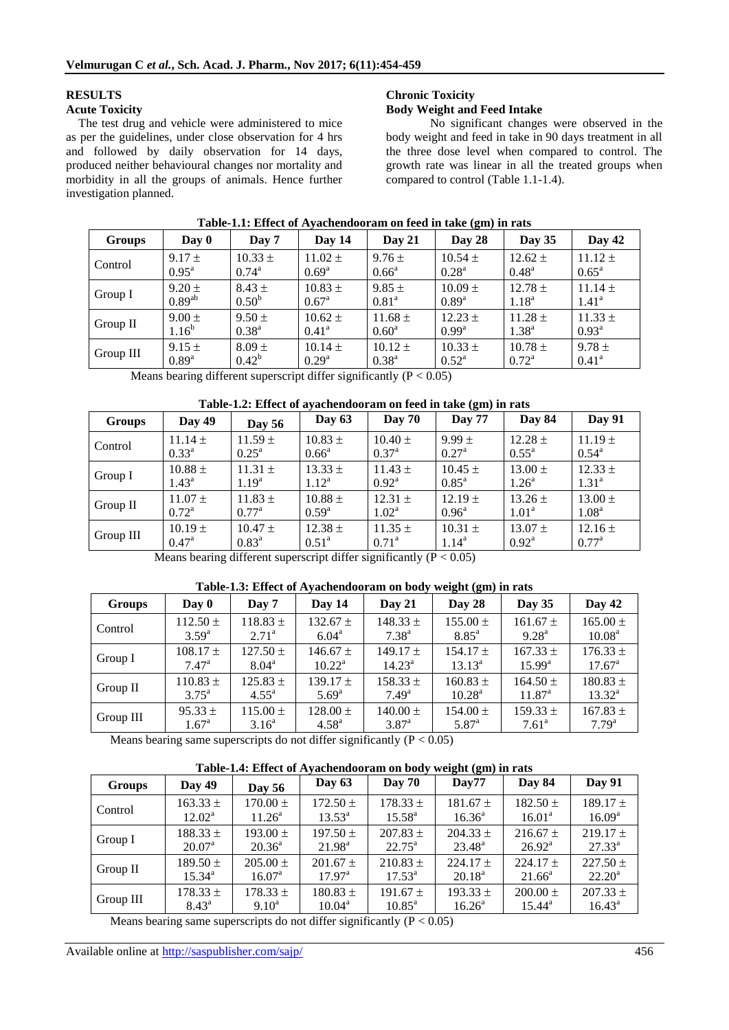# **RESULTS**

#### **Acute Toxicity**

The test drug and vehicle were administered to mice as per the guidelines, under close observation for 4 hrs and followed by daily observation for 14 days, produced neither behavioural changes nor mortality and morbidity in all the groups of animals. Hence further investigation planned.

# **Chronic Toxicity Body Weight and Feed Intake**

No significant changes were observed in the body weight and feed in take in 90 days treatment in all the three dose level when compared to control. The growth rate was linear in all the treated groups when compared to control (Table 1.1-1.4).

| <b>Groups</b> | Day 0             | Day 7             | Day 14            | Day 21            | Day 28         | Day $35$       | Day 42            |
|---------------|-------------------|-------------------|-------------------|-------------------|----------------|----------------|-------------------|
| Control       | $9.17 \pm$        | $10.33 \pm$       | $11.02 \pm$       | $9.76 \pm$        | $10.54 \pm$    | $12.62 \pm$    | $11.12 \pm$       |
|               | $0.95^{\text{a}}$ | $0.74^{\rm a}$    | $0.69^{\rm a}$    | $0.66^{\circ}$    | $0.28^{\rm a}$ | $0.48^{\rm a}$ | $0.65^{\rm a}$    |
| Group I       | $9.20 \pm$        | $8.43 \pm$        | $10.83 \pm$       | $9.85 \pm$        | $10.09 \pm$    | $12.78 \pm$    | $11.14 \pm$       |
|               | $0.89^{ab}$       | 0.50 <sup>b</sup> | $0.67^{\rm a}$    | 0.81 <sup>a</sup> | $0.89^{a}$     | $1.18^{a}$     | $1.41^{\circ}$    |
| Group $II$    | $9.00 \pm$        | $9.50 \pm$        | $10.62 \pm$       | $11.68 \pm$       | $12.23 \pm$    | $11.28 \pm$    | $11.33 \pm$       |
|               | $1.16^{b}$        | $0.38^{a}$        | 0.41 <sup>a</sup> | $0.60^{\rm a}$    | $0.99^{\rm a}$ | $1.38^{a}$     | $0.93^{\text{a}}$ |
| Group III     | $9.15 \pm$        | $8.09 \pm$        | $10.14 \pm$       | $10.12 \pm$       | $10.33 \pm$    | $10.78 \pm$    | $9.78 \pm$        |
|               | $0.89^{\rm a}$    | $0.42^b$          | $0.29^{\rm a}$    | $0.38^{\rm a}$    | $0.52^{\rm a}$ | $0.72^{\rm a}$ | $0.41^{\rm a}$    |

#### **Table-1.1: Effect of Ayachendooram on feed in take (gm) in rats**

**Means bearing different superscript differ significantly**  $(P < 0.05)$ 

| Table-1.2: Effect of ayachendooram on feed in take (gm) in rats |  |  |  |  |  |  |  |  |
|-----------------------------------------------------------------|--|--|--|--|--|--|--|--|
|-----------------------------------------------------------------|--|--|--|--|--|--|--|--|

| <b>Groups</b> | Day 49         | <b>Day 56</b>  | Day $63$       | <b>Day 70</b>  | <b>Day 77</b>     | Day 84            | <b>Day 91</b>     |
|---------------|----------------|----------------|----------------|----------------|-------------------|-------------------|-------------------|
| Control       | $11.14 \pm$    | $11.59 \pm$    | $10.83 \pm$    | $10.40 \pm$    | $9.99 \pm$        | $12.28 \pm$       | $11.19 \pm$       |
|               | $0.33^{\rm a}$ | $0.25^{\rm a}$ | $0.66^{\circ}$ | $0.37^{\rm a}$ | $0.27^{\rm a}$    | $0.55^{\rm a}$    | $0.54^{\rm a}$    |
| Group I       | $10.88 \pm$    | $11.31 \pm$    | $13.33 \pm$    | $11.43 \pm$    | $10.45 \pm$       | $13.00 \pm$       | $12.33 \pm$       |
|               | $1.43^{\circ}$ | $1.19^{\rm a}$ | $1.12^a$       | $0.92^{\rm a}$ | $0.85^{\text{a}}$ | 1.26 <sup>a</sup> | 1.31 <sup>a</sup> |
| Group $II$    | $11.07 \pm$    | $11.83 \pm$    | $10.88 \pm$    | $12.31 \pm$    | $12.19 \pm$       | $13.26 \pm$       | $13.00 \pm$       |
|               | $0.72^{\rm a}$ | $0.77^{\rm a}$ | $0.59^{\rm a}$ | $1.02^{\rm a}$ | $0.96^{\rm a}$    | 1.01 <sup>a</sup> | 1.08 <sup>a</sup> |
| Group III     | $10.19 \pm$    | $10.47 \pm$    | $12.38 \pm$    | $11.35 \pm$    | $10.31 \pm$       | $13.07 \pm$       | $12.16 \pm$       |
|               | $0.47^{\rm a}$ | $0.83^{\rm a}$ | $0.51^{\rm a}$ | $0.71^{\rm a}$ | $1.14^{a}$        | $0.92^{\rm a}$    | $0.77^{\rm a}$    |

Means bearing different superscript differ significantly  $(P < 0.05)$ 

| Table-1.5. Effect of Ayachchuooram on bouy weight (giff) in Fats |                |                |                    |                 |                   |                 |                    |  |
|------------------------------------------------------------------|----------------|----------------|--------------------|-----------------|-------------------|-----------------|--------------------|--|
| Groups                                                           | Day 0          | Day 7          | Day 14             | Day $21$        | Day 28            | Day 35          | Day 42             |  |
| Control                                                          | $112.50 \pm$   | $118.83 \pm$   | $132.67 \pm$       | $148.33 \pm$    | $155.00 \pm$      | $161.67 \pm$    | $165.00 \pm$       |  |
|                                                                  | $3.59^{a}$     | $2.71^{\circ}$ | $6.04^{\circ}$     | $7.38^{a}$      | $8.85^{\text{a}}$ | $9.28^{\rm a}$  | 10.08 <sup>a</sup> |  |
| Group I                                                          | $108.17 \pm$   | $127.50 \pm$   | $146.67 \pm$       | $149.17 \pm$    | $154.17 \pm$      | $167.33 \pm$    | $176.33 \pm$       |  |
|                                                                  | $7.47^{\rm a}$ | $8.04^{\rm a}$ | $10.22^{\text{a}}$ | $14.23^{\rm a}$ | $13.13^a$         | $15.99^{\rm a}$ | $17.67^{\rm a}$    |  |
| Group $II$                                                       | $110.83 \pm$   | $125.83 \pm$   | $139.17 \pm$       | $158.33 \pm$    | $160.83 \pm$      | $164.50 \pm$    | $180.83 \pm$       |  |
|                                                                  | $3.75^{\rm a}$ | $4.55^{\rm a}$ | $5.69^{\rm a}$     | $7.49^{\rm a}$  | $10.28^{\rm a}$   | $11.87^{\rm a}$ | $13.32^{\rm a}$    |  |
| Group III                                                        | $95.33 \pm$    | $115.00 \pm$   | $128.00 \pm$       | $140.00 \pm$    | $154.00 \pm$      | $159.33 \pm$    | $167.83 \pm$       |  |
|                                                                  | $1.67^{\rm a}$ | $3.16^{\rm a}$ | $4.58^{\rm a}$     | $3.87^{\rm a}$  | $5.87^{\rm a}$    | $7.61^{\circ}$  | $7.79^{\rm a}$     |  |

# **Table-1.3: Effect of Ayachendooram on body weight (gm) in rats**

Means bearing same superscripts do not differ significantly  $(P < 0.05)$ 

| Table-1.4: Effect of Ayachendooram on body weight (gm) in rats |                 |                 |                 |                 |                 |                    |                    |  |  |
|----------------------------------------------------------------|-----------------|-----------------|-----------------|-----------------|-----------------|--------------------|--------------------|--|--|
| Groups                                                         | Day 49          | <b>Day 56</b>   | Day $63$        | <b>Day 70</b>   | $\bf Dav77$     | Day 84             | <b>Day 91</b>      |  |  |
| Control                                                        | $163.33 \pm$    | $170.00 \pm$    | $172.50 \pm$    | $178.33 \pm$    | $181.67 \pm$    | $182.50 \pm$       | $189.17 \pm$       |  |  |
|                                                                | $12.02^{\rm a}$ | $11.26^{\circ}$ | $13.53^{\circ}$ | $15.58^{\rm a}$ | $16.36^{\circ}$ | $16.01^{\text{a}}$ | 16.09 <sup>a</sup> |  |  |
| Group I                                                        | $188.33 \pm$    | 193.00 $\pm$    | $197.50 \pm$    | $207.83 \pm$    | $204.33 \pm$    | $216.67 \pm$       | $219.17 \pm$       |  |  |
|                                                                | $20.07^{\rm a}$ | $20.36^{\circ}$ | $21.98^{\rm a}$ | $22.75^{\circ}$ | $23.48^{\rm a}$ | $26.92^{\text{a}}$ | $27.33^a$          |  |  |
| Group II                                                       | $189.50 \pm$    | $205.00 \pm$    | $201.67 \pm$    | $210.83 \pm$    | $224.17 \pm$    | $224.17 \pm$       | $227.50 \pm$       |  |  |
|                                                                | $15.34^{\circ}$ | $16.07^{\rm a}$ | $17.97^{\rm a}$ | $17.53^{\rm a}$ | $20.18^a$       | $21.66^{\rm a}$    | $22.20^{\rm a}$    |  |  |
| Group III                                                      | $178.33 \pm$    | $178.33 \pm$    | $180.83 \pm$    | $191.67 \pm$    | $193.33 \pm$    | $200.00 \pm$       | $207.33 \pm$       |  |  |
|                                                                | $8.43^{\circ}$  | $9.10^a$        | $10.04^{\rm a}$ | $10.85^{\rm a}$ | $16.26^{\circ}$ | $15.44^{\circ}$    | $16.43^{\circ}$    |  |  |

Means bearing same superscripts do not differ significantly  $(P < 0.05)$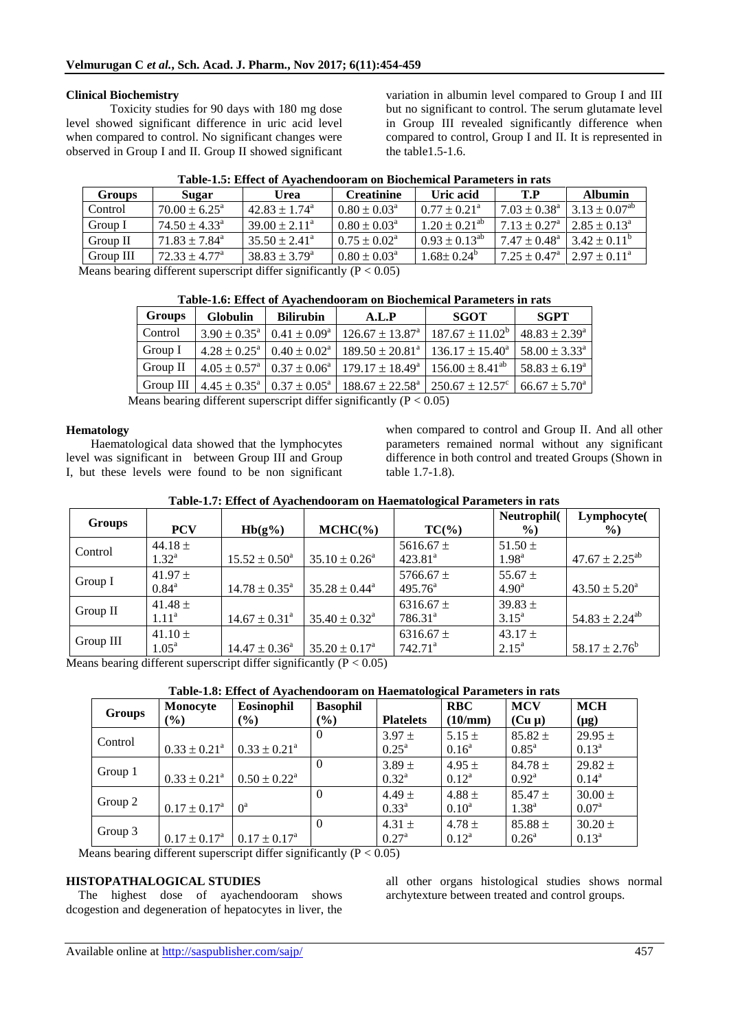# **Clinical Biochemistry**

Toxicity studies for 90 days with 180 mg dose level showed significant difference in uric acid level when compared to control. No significant changes were observed in Group I and II. Group II showed significant

variation in albumin level compared to Group I and III but no significant to control. The serum glutamate level in Group III revealed significantly difference when compared to control, Group I and II. It is represented in the table1.5-1.6.

| <b>Groups</b> | Sugar                         | Urea                        | <b>Creatinine</b>                  | Uric acid               | T.P                          | <b>Albumin</b>          |
|---------------|-------------------------------|-----------------------------|------------------------------------|-------------------------|------------------------------|-------------------------|
| Control       | $70.00 \pm 6.25^{\circ}$      | $42.83 + 1.74$ <sup>a</sup> | $0.80 \pm 0.03^{\circ}$            | $0.77 \pm 0.21^{\circ}$ | $7.03 \pm 0.38^{\text{a}}$   | $3.13 + 0.07^{ab}$      |
| Group I       | $74.50 + 4.33a$               | $39.00 + 2.11^a$            | $0.80 \pm 0.03^{\circ}$            | $1.20 + 0.21^{ab}$      | $7.13 + 0.27$ <sup>a</sup>   | $2.85 \pm 0.13^{\circ}$ |
| Group II      | $71.83 \pm 7.84$ <sup>a</sup> | $35.50 \pm 2.41^{\circ}$    | $0.75 \pm 0.02^{\text{a}}$         | $0.93 \pm 0.13^{ab}$    | $7.47 \pm 0.48$ <sup>a</sup> | $3.42 \pm 0.11^{\circ}$ |
| Group III     | $72.33 \pm 4.77^{\circ}$      | $38.83 \pm 3.79^{\circ}$    | $0.80 \pm 0.03^{\circ}$            | $1.68 \pm 0.24^{\circ}$ | $7.25 \pm 0.47^{\circ}$      | $2.97 \pm 0.11^{\circ}$ |
|               | $\cdots$                      | $\cdots$                    | $\sim$ $\sim$ $\sim$ $\sim$ $\sim$ |                         |                              |                         |

|  | Table-1.5: Effect of Ayachendooram on Biochemical Parameters in rats |  |  |
|--|----------------------------------------------------------------------|--|--|
|  |                                                                      |  |  |

Means bearing different superscript differ significantly  $(P < 0.05)$ 

|  | Table-1.6: Effect of Ayachendooram on Biochemical Parameters in rats |  |  |
|--|----------------------------------------------------------------------|--|--|
|--|----------------------------------------------------------------------|--|--|

| <b>Groups</b> | <b>Globulin</b> | <b>Bilirubin</b> | A.L.P                                                                                                                                                 | SGOT | <b>SGPT</b>               |
|---------------|-----------------|------------------|-------------------------------------------------------------------------------------------------------------------------------------------------------|------|---------------------------|
| Control       |                 |                  | $3.90 \pm 0.35^{\circ}$   $0.41 \pm 0.09^{\circ}$   $126.67 \pm 13.87^{\circ}$   $187.67 \pm 11.02^{\circ}$   $48.83 \pm 2.39^{\circ}$                |      |                           |
| Group I       |                 |                  | $4.28 \pm 0.25^{\text{a}}$   $0.40 \pm 0.02^{\text{a}}$   $189.50 \pm 20.81^{\text{a}}$   $136.17 \pm 15.40^{\text{a}}$   $58.00 \pm 3.33^{\text{a}}$ |      |                           |
| Group II      |                 |                  | $14.05 \pm 0.57^{\circ}$   $0.37 \pm 0.06^{\circ}$   $179.17 \pm 18.49^{\circ}$   $156.00 \pm 8.41^{\circ}$                                           |      | 58.83 ± 6.19 <sup>a</sup> |
|               |                 |                  | Group III   $4.45 \pm 0.35^{\circ}$   $0.37 \pm 0.05^{\circ}$   $188.67 \pm 22.58^{\circ}$   $250.67 \pm 12.57^{\circ}$   66.67 $\pm 5.70^{\circ}$    |      |                           |

Means bearing different superscript differ significantly  $(P < 0.05)$ 

# **Hematology**

Haematological data showed that the lymphocytes level was significant in between Group III and Group I, but these levels were found to be non significant when compared to control and Group II. And all other parameters remained normal without any significant difference in both control and treated Groups (Shown in table 1.7-1.8).

| Table-1.7: Effect of Ayachendooram on Haematological Parameters in rats |  |  |  |
|-------------------------------------------------------------------------|--|--|--|
|-------------------------------------------------------------------------|--|--|--|

| <b>Groups</b> | <b>PCV</b>                       | $Hb(g\%)$                   | $MCHC(\% )$                 | $TC(\% )$                            | Neutrophil(<br>$\frac{6}{2}$  | Lymphocyte(<br>$\%$      |
|---------------|----------------------------------|-----------------------------|-----------------------------|--------------------------------------|-------------------------------|--------------------------|
| Control       | 44.18 $\pm$<br>$1.32^{\rm a}$    | $15.52 \pm 0.50^a$          | $35.10 \pm 0.26^a$          | 5616.67 $\pm$<br>$423.81^a$          | 51.50 $\pm$<br>$1.98^{\rm a}$ | $47.67 \pm 2.25^{ab}$    |
| Group I       | 41.97 $\pm$<br>$0.84^{\rm a}$    | $14.78 \pm 0.35^{\text{a}}$ | $35.28 \pm 0.44^a$          | 5766.67 $\pm$<br>$495.76^{\circ}$    | 55.67 $\pm$<br>$4.90^{\rm a}$ | $43.50 \pm 5.20^{\circ}$ |
| Group II      | 41.48 $\pm$<br>$1.11^{\rm a}$    | $14.67 \pm 0.31^{\text{a}}$ | $35.40 \pm 0.32^{\text{a}}$ | 6316.67 $\pm$<br>$786.31^{\text{a}}$ | $39.83 \pm$<br>$3.15^{\rm a}$ | $54.83 \pm 2.24^{ab}$    |
| Group III     | 41.10 $\pm$<br>1.05 <sup>a</sup> | $14.47 \pm 0.36^a$          | $35.20 \pm 0.17^{\text{a}}$ | $6316.67 \pm$<br>$742.71^a$          | 43.17 $\pm$<br>$2.15^{\circ}$ | $58.17 \pm 2.76^b$       |

Means bearing different superscript differ significantly ( $P < 0.05$ )

# **Table-1.8: Effect of Ayachendooram on Haematological Parameters in rats**

| <b>Groups</b> | Monocyte<br>$\left( \frac{0}{0} \right)$ | Eosinophil<br>$\left( \frac{0}{0} \right)$ | <b>Basophil</b><br>$(\%)$ | -<br><b>Platelets</b>           | <b>RBC</b><br>(10/mm)        | <b>MCV</b><br>$(Cu \mu)$      | <b>MCH</b><br>$(\mu g)$       |
|---------------|------------------------------------------|--------------------------------------------|---------------------------|---------------------------------|------------------------------|-------------------------------|-------------------------------|
| Control       | $0.33 \pm 0.21^a$                        | $0.33 \pm 0.21^{\circ}$                    | 0                         | $3.97 \pm$<br>$0.25^{\text{a}}$ | $5.15 \pm$<br>$0.16^{\rm a}$ | $85.82 \pm$<br>$0.85^{\rm a}$ | $29.95 \pm$<br>$0.13^{\rm a}$ |
| Group 1       | $0.33 \pm 0.21^{\text{a}}$               | $0.50 \pm 0.22^{\text{a}}$                 | 0                         | $3.89 \pm$<br>$0.32^{\rm a}$    | $4.95 \pm$<br>$0.12^a$       | $84.78 \pm$<br>$0.92^{\rm a}$ | $29.82 \pm$<br>$0.14^{\rm a}$ |
| Group 2       | $0.17 \pm 0.17^{\text{a}}$               | $0^a$                                      | $\Omega$                  | $4.49 \pm$<br>$0.33^{\rm a}$    | 4.88 $\pm$<br>$0.10^{\rm a}$ | $85.47 \pm$<br>$1.38^{a}$     | $30.00 \pm$<br>$0.07^{\rm a}$ |
| Group 3       | $0.17 \pm 0.17^{\text{a}}$               | $0.17 \pm 0.17^{\text{a}}$                 | 0                         | 4.31 $\pm$<br>$0.27^{\rm a}$    | $4.78 \pm$<br>$0.12^a$       | $85.88 \pm$<br>$0.26^{\circ}$ | $30.20 \pm$<br>$0.13^{\rm a}$ |

Means bearing different superscript differ significantly  $(P < 0.05)$ 

# **HISTOPATHALOGICAL STUDIES**

The highest dose of ayachendooram shows dcogestion and degeneration of hepatocytes in liver, the

all other organs histological studies shows normal archytexture between treated and control groups.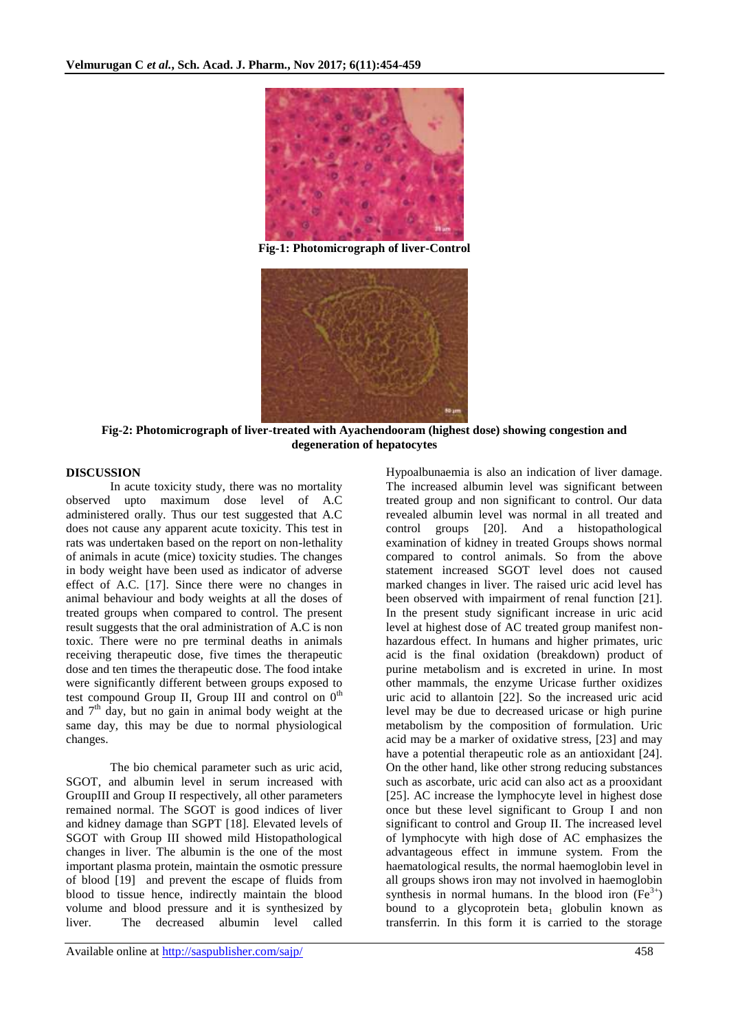

**Fig-1: Photomicrograph of liver-Control**



**Fig-2: Photomicrograph of liver-treated with Ayachendooram (highest dose) showing congestion and degeneration of hepatocytes**

# **DISCUSSION**

In acute toxicity study, there was no mortality observed upto maximum dose level of A.C administered orally. Thus our test suggested that A.C does not cause any apparent acute toxicity. This test in rats was undertaken based on the report on non-lethality of animals in acute (mice) toxicity studies. The changes in body weight have been used as indicator of adverse effect of A.C. [17]. Since there were no changes in animal behaviour and body weights at all the doses of treated groups when compared to control. The present result suggests that the oral administration of A.C is non toxic. There were no pre terminal deaths in animals receiving therapeutic dose, five times the therapeutic dose and ten times the therapeutic dose. The food intake were significantly different between groups exposed to test compound Group II, Group III and control on  $0<sup>th</sup>$ and  $7<sup>th</sup>$  day, but no gain in animal body weight at the same day, this may be due to normal physiological changes.

The bio chemical parameter such as uric acid, SGOT, and albumin level in serum increased with GroupIII and Group II respectively, all other parameters remained normal. The SGOT is good indices of liver and kidney damage than SGPT [18]. Elevated levels of SGOT with Group III showed mild Histopathological changes in liver. The albumin is the one of the most important plasma protein, maintain the osmotic pressure of blood [19] and prevent the escape of fluids from blood to tissue hence, indirectly maintain the blood volume and blood pressure and it is synthesized by liver. The decreased albumin level called

Hypoalbunaemia is also an indication of liver damage. The increased albumin level was significant between treated group and non significant to control. Our data revealed albumin level was normal in all treated and control groups [20]. And a histopathological examination of kidney in treated Groups shows normal compared to control animals. So from the above statement increased SGOT level does not caused marked changes in liver. The raised uric acid level has been observed with impairment of renal function [21]. In the present study significant increase in uric acid level at highest dose of AC treated group manifest nonhazardous effect. In humans and higher primates, uric acid is the final oxidation (breakdown) product of purine metabolism and is excreted in urine. In most other mammals, the enzyme Uricase further oxidizes uric acid to allantoin [22]. So the increased uric acid level may be due to decreased uricase or high purine metabolism by the composition of formulation. Uric acid may be a marker of oxidative stress, [23] and may have a potential therapeutic role as an antioxidant [24]. On the other hand, like other strong reducing substances such as ascorbate, uric acid can also act as a prooxidant [25]. AC increase the lymphocyte level in highest dose once but these level significant to Group I and non significant to control and Group II. The increased level of lymphocyte with high dose of AC emphasizes the advantageous effect in immune system. From the haematological results, the normal haemoglobin level in all groups shows iron may not involved in haemoglobin synthesis in normal humans. In the blood iron  $(Fe^{3+})$ bound to a glycoprotein beta<sub>1</sub> globulin known as transferrin. In this form it is carried to the storage